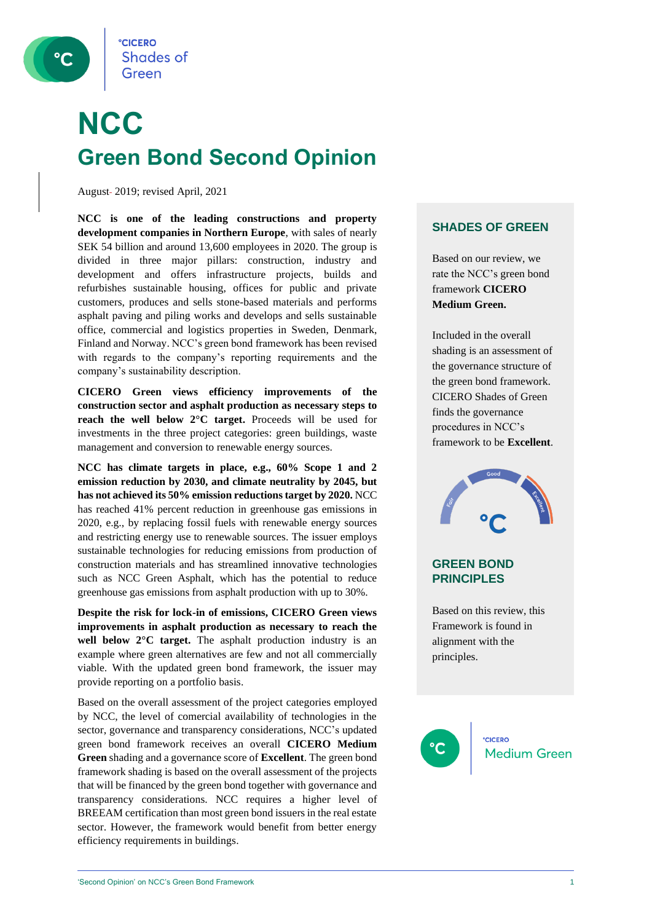

## **NCC Green Bond Second Opinion**

August-2019; revised April, 2021

**NCC is one of the leading constructions and property development companies in Northern Europe**, with sales of nearly SEK 54 billion and around 13,600 employees in 2020. The group is divided in three major pillars: construction, industry and development and offers infrastructure projects, builds and refurbishes sustainable housing, offices for public and private customers, produces and sells stone-based materials and performs asphalt paving and piling works and develops and sells sustainable office, commercial and logistics properties in Sweden, Denmark, Finland and Norway. NCC's green bond framework has been revised with regards to the company's reporting requirements and the company's sustainability description.

**CICERO Green views efficiency improvements of the construction sector and asphalt production as necessary steps to reach the well below 2°C target.** Proceeds will be used for investments in the three project categories: green buildings, waste management and conversion to renewable energy sources.

**NCC has climate targets in place, e.g., 60% Scope 1 and 2 emission reduction by 2030, and climate neutrality by 2045, but has not achieved its 50% emission reductions target by 2020.** NCC has reached 41% percent reduction in greenhouse gas emissions in 2020, e.g., by replacing fossil fuels with renewable energy sources and restricting energy use to renewable sources. The issuer employs sustainable technologies for reducing emissions from production of construction materials and has streamlined innovative technologies such as NCC Green Asphalt, which has the potential to reduce greenhouse gas emissions from asphalt production with up to 30%.

**Despite the risk for lock-in of emissions, CICERO Green views improvements in asphalt production as necessary to reach the** well below  $2^{\circ}$ C target. The asphalt production industry is an example where green alternatives are few and not all commercially viable. With the updated green bond framework, the issuer may provide reporting on a portfolio basis.

Based on the overall assessment of the project categories employed by NCC, the level of comercial availability of technologies in the sector, governance and transparency considerations, NCC's updated green bond framework receives an overall **CICERO Medium Green** shading and a governance score of **Excellent**. The green bond framework shading is based on the overall assessment of the projects that will be financed by the green bond together with governance and transparency considerations. NCC requires a higher level of BREEAM certification than most green bond issuers in the real estate sector. However, the framework would benefit from better energy efficiency requirements in buildings.

#### **SHADES OF GREEN**

Based on our review, we rate the NCC's green bond framework **CICERO Medium Green.** 

Included in the overall shading is an assessment of the governance structure of the green bond framework. CICERO Shades of Green finds the governance procedures in NCC's framework to be **Excellent**.



#### **GREEN BOND PRINCIPLES**

Based on this review, this Framework is found in alignment with the principles.

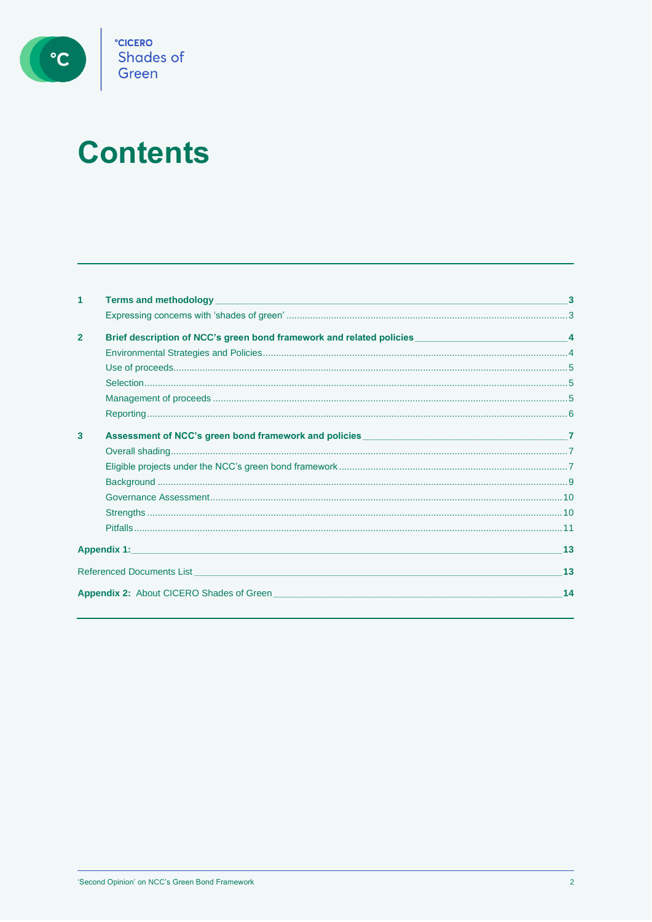

# **Contents**

| 1                                          | <b>Terms and methodology <i>CONSIDERATION</i> <b><i>CONSIDERATION CONSIDERATION CONSIDERATION</i> <b><i>CONSIDERATION</i></b></b></b>                                                                                         |    |
|--------------------------------------------|-------------------------------------------------------------------------------------------------------------------------------------------------------------------------------------------------------------------------------|----|
|                                            |                                                                                                                                                                                                                               |    |
| $\overline{2}$                             | Brief description of NCC's green bond framework and related policies ________________________________4                                                                                                                        |    |
|                                            |                                                                                                                                                                                                                               |    |
|                                            |                                                                                                                                                                                                                               |    |
|                                            |                                                                                                                                                                                                                               |    |
|                                            |                                                                                                                                                                                                                               |    |
|                                            |                                                                                                                                                                                                                               |    |
| 3                                          |                                                                                                                                                                                                                               |    |
|                                            |                                                                                                                                                                                                                               |    |
|                                            |                                                                                                                                                                                                                               |    |
|                                            |                                                                                                                                                                                                                               |    |
|                                            |                                                                                                                                                                                                                               |    |
|                                            |                                                                                                                                                                                                                               |    |
|                                            |                                                                                                                                                                                                                               |    |
| Appendix 1: <b>Appendix 1:</b> Appendix 1: | 13                                                                                                                                                                                                                            |    |
|                                            | Referenced Documents List and the control of the control of the control of the control of the control of the control of the control of the control of the control of the control of the control of the control of the control | 13 |
|                                            | <b>Appendix 2:</b> About CICERO Shades of Green <b>Appendix 1.1 Appendix 2.</b> About CICERO Shades of Green                                                                                                                  | 14 |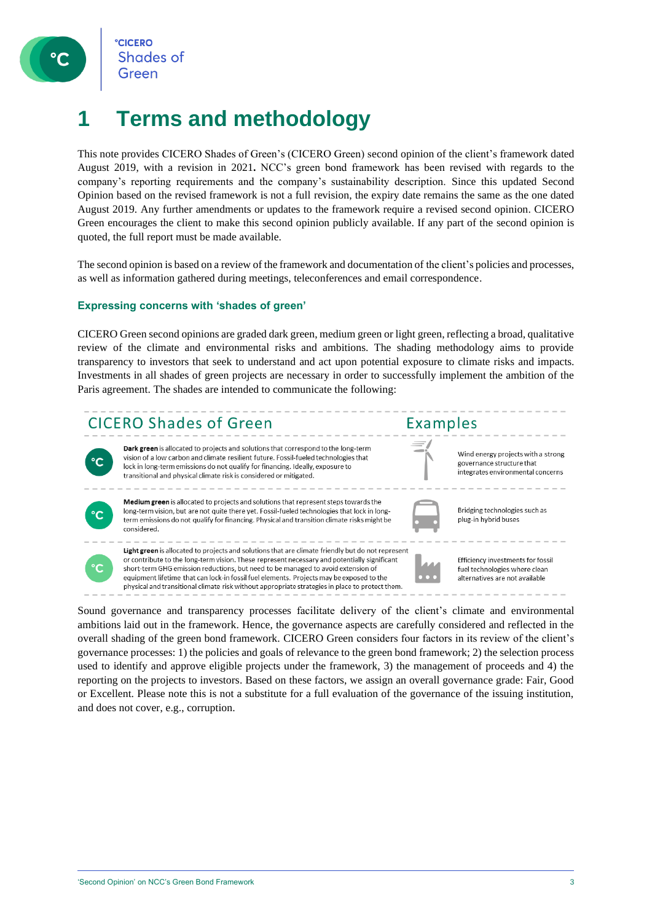

### **1 Terms and methodology**

This note provides CICERO Shades of Green's (CICERO Green) second opinion of the client's framework dated August 2019, with a revision in 2021**.** NCC's green bond framework has been revised with regards to the company's reporting requirements and the company's sustainability description. Since this updated Second Opinion based on the revised framework is not a full revision, the expiry date remains the same as the one dated August 2019. Any further amendments or updates to the framework require a revised second opinion. CICERO Green encourages the client to make this second opinion publicly available. If any part of the second opinion is quoted, the full report must be made available.

The second opinion is based on a review of the framework and documentation of the client's policies and processes, as well as information gathered during meetings, teleconferences and email correspondence.

#### **Expressing concerns with 'shades of green'**

CICERO Green second opinions are graded dark green, medium green or light green, reflecting a broad, qualitative review of the climate and environmental risks and ambitions. The shading methodology aims to provide transparency to investors that seek to understand and act upon potential exposure to climate risks and impacts. Investments in all shades of green projects are necessary in order to successfully implement the ambition of the Paris agreement. The shades are intended to communicate the following:



Sound governance and transparency processes facilitate delivery of the client's climate and environmental ambitions laid out in the framework. Hence, the governance aspects are carefully considered and reflected in the overall shading of the green bond framework. CICERO Green considers four factors in its review of the client's governance processes: 1) the policies and goals of relevance to the green bond framework; 2) the selection process used to identify and approve eligible projects under the framework, 3) the management of proceeds and 4) the reporting on the projects to investors. Based on these factors, we assign an overall governance grade: Fair, Good or Excellent. Please note this is not a substitute for a full evaluation of the governance of the issuing institution, and does not cover, e.g., corruption.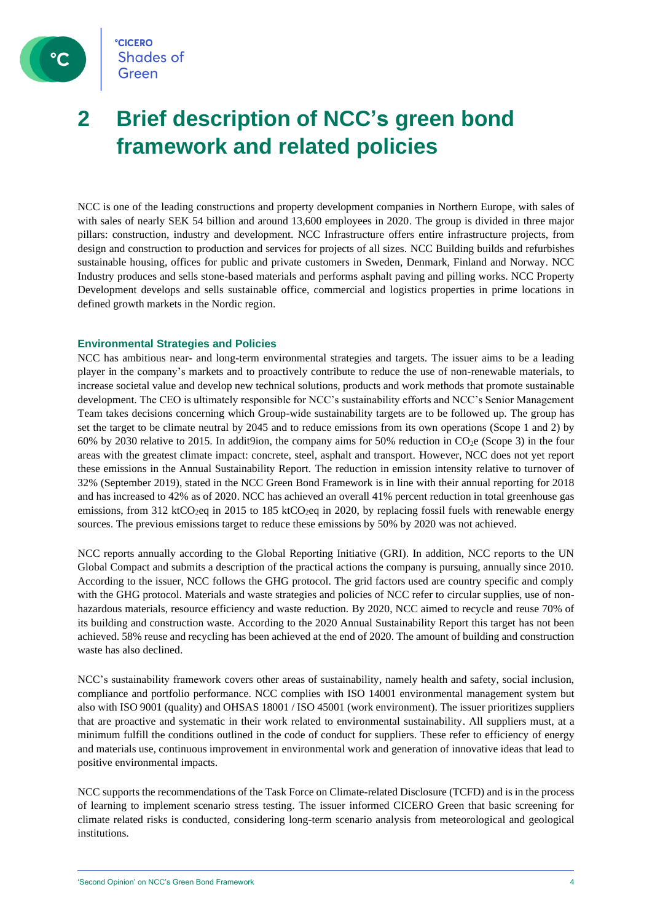

### **2 Brief description of NCC's green bond framework and related policies**

NCC is one of the leading constructions and property development companies in Northern Europe, with sales of with sales of nearly SEK 54 billion and around 13,600 employees in 2020. The group is divided in three major pillars: construction, industry and development. NCC Infrastructure offers entire infrastructure projects, from design and construction to production and services for projects of all sizes. NCC Building builds and refurbishes sustainable housing, offices for public and private customers in Sweden, Denmark, Finland and Norway. NCC Industry produces and sells stone-based materials and performs asphalt paving and pilling works. NCC Property Development develops and sells sustainable office, commercial and logistics properties in prime locations in defined growth markets in the Nordic region.

#### **Environmental Strategies and Policies**

NCC has ambitious near- and long-term environmental strategies and targets. The issuer aims to be a leading player in the company's markets and to proactively contribute to reduce the use of non-renewable materials, to increase societal value and develop new technical solutions, products and work methods that promote sustainable development. The CEO is ultimately responsible for NCC's sustainability efforts and NCC's Senior Management Team takes decisions concerning which Group-wide sustainability targets are to be followed up. The group has set the target to be climate neutral by 2045 and to reduce emissions from its own operations (Scope 1 and 2) by 60% by 2030 relative to 2015. In additgion, the company aims for 50% reduction in  $CO<sub>2</sub>e$  (Scope 3) in the four areas with the greatest climate impact: concrete, steel, asphalt and transport. However, NCC does not yet report these emissions in the Annual Sustainability Report. The reduction in emission intensity relative to turnover of 32% (September 2019), stated in the NCC Green Bond Framework is in line with their annual reporting for 2018 and has increased to 42% as of 2020. NCC has achieved an overall 41% percent reduction in total greenhouse gas emissions, from 312 ktCO<sub>2</sub>eq in 2015 to 185 ktCO<sub>2</sub>eq in 2020, by replacing fossil fuels with renewable energy sources. The previous emissions target to reduce these emissions by 50% by 2020 was not achieved.

NCC reports annually according to the Global Reporting Initiative (GRI). In addition, NCC reports to the UN Global Compact and submits a description of the practical actions the company is pursuing, annually since 2010. According to the issuer, NCC follows the GHG protocol. The grid factors used are country specific and comply with the GHG protocol. Materials and waste strategies and policies of NCC refer to circular supplies, use of nonhazardous materials, resource efficiency and waste reduction. By 2020, NCC aimed to recycle and reuse 70% of its building and construction waste. According to the 2020 Annual Sustainability Report this target has not been achieved. 58% reuse and recycling has been achieved at the end of 2020. The amount of building and construction waste has also declined.

NCC's sustainability framework covers other areas of sustainability, namely health and safety, social inclusion, compliance and portfolio performance. NCC complies with ISO 14001 environmental management system but also with ISO 9001 (quality) and OHSAS 18001 / ISO 45001 (work environment). The issuer prioritizes suppliers that are proactive and systematic in their work related to environmental sustainability. All suppliers must, at a minimum fulfill the conditions outlined in the code of conduct for suppliers. These refer to efficiency of energy and materials use, continuous improvement in environmental work and generation of innovative ideas that lead to positive environmental impacts.

NCC supports the recommendations of the Task Force on Climate-related Disclosure (TCFD) and is in the process of learning to implement scenario stress testing. The issuer informed CICERO Green that basic screening for climate related risks is conducted, considering long-term scenario analysis from meteorological and geological institutions.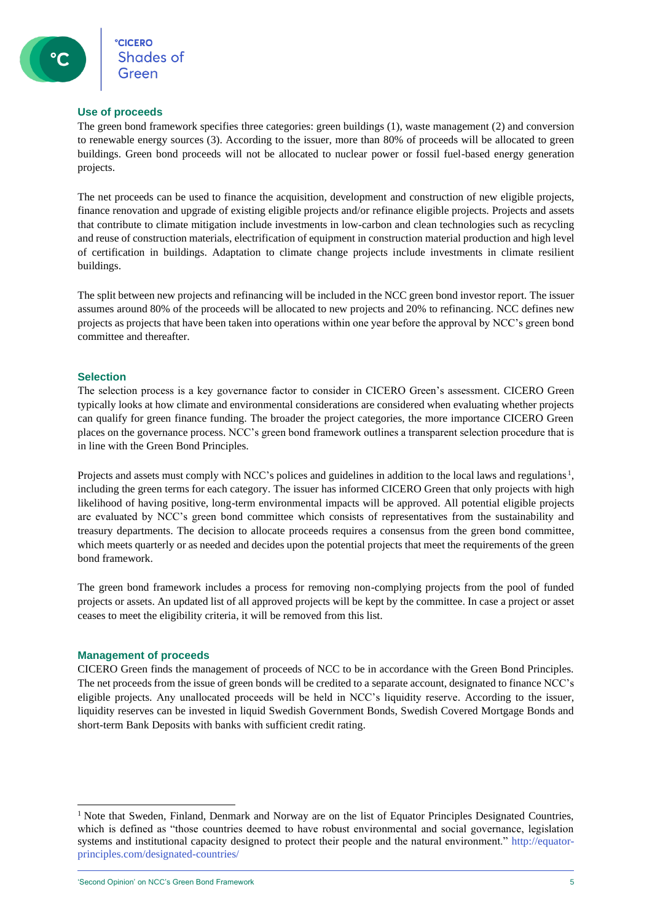#### **Use of proceeds**

The green bond framework specifies three categories: green buildings (1), waste management (2) and conversion to renewable energy sources (3). According to the issuer, more than 80% of proceeds will be allocated to green buildings. Green bond proceeds will not be allocated to nuclear power or fossil fuel-based energy generation projects.

The net proceeds can be used to finance the acquisition, development and construction of new eligible projects, finance renovation and upgrade of existing eligible projects and/or refinance eligible projects. Projects and assets that contribute to climate mitigation include investments in low-carbon and clean technologies such as recycling and reuse of construction materials, electrification of equipment in construction material production and high level of certification in buildings. Adaptation to climate change projects include investments in climate resilient buildings.

The split between new projects and refinancing will be included in the NCC green bond investor report. The issuer assumes around 80% of the proceeds will be allocated to new projects and 20% to refinancing. NCC defines new projects as projects that have been taken into operations within one year before the approval by NCC's green bond committee and thereafter.

#### **Selection**

The selection process is a key governance factor to consider in CICERO Green's assessment. CICERO Green typically looks at how climate and environmental considerations are considered when evaluating whether projects can qualify for green finance funding. The broader the project categories, the more importance CICERO Green places on the governance process. NCC's green bond framework outlines a transparent selection procedure that is in line with the Green Bond Principles.

Projects and assets must comply with NCC's polices and guidelines in addition to the local laws and regulations.<sup>1</sup>, including the green terms for each category. The issuer has informed CICERO Green that only projects with high likelihood of having positive, long-term environmental impacts will be approved. All potential eligible projects are evaluated by NCC's green bond committee which consists of representatives from the sustainability and treasury departments. The decision to allocate proceeds requires a consensus from the green bond committee, which meets quarterly or as needed and decides upon the potential projects that meet the requirements of the green bond framework.

The green bond framework includes a process for removing non-complying projects from the pool of funded projects or assets. An updated list of all approved projects will be kept by the committee. In case a project or asset ceases to meet the eligibility criteria, it will be removed from this list.

#### **Management of proceeds**

CICERO Green finds the management of proceeds of NCC to be in accordance with the Green Bond Principles. The net proceeds from the issue of green bonds will be credited to a separate account, designated to finance NCC's eligible projects. Any unallocated proceeds will be held in NCC's liquidity reserve. According to the issuer, liquidity reserves can be invested in liquid Swedish Government Bonds, Swedish Covered Mortgage Bonds and short-term Bank Deposits with banks with sufficient credit rating.

'Second Opinion' on NCC's Green Bond Framework 5

<sup>&</sup>lt;sup>1</sup> Note that Sweden, Finland, Denmark and Norway are on the list of Equator Principles Designated Countries, which is defined as "those countries deemed to have robust environmental and social governance, legislation systems and institutional capacity designed to protect their people and the natural environment." http://equatorprinciples.com/designated-countries/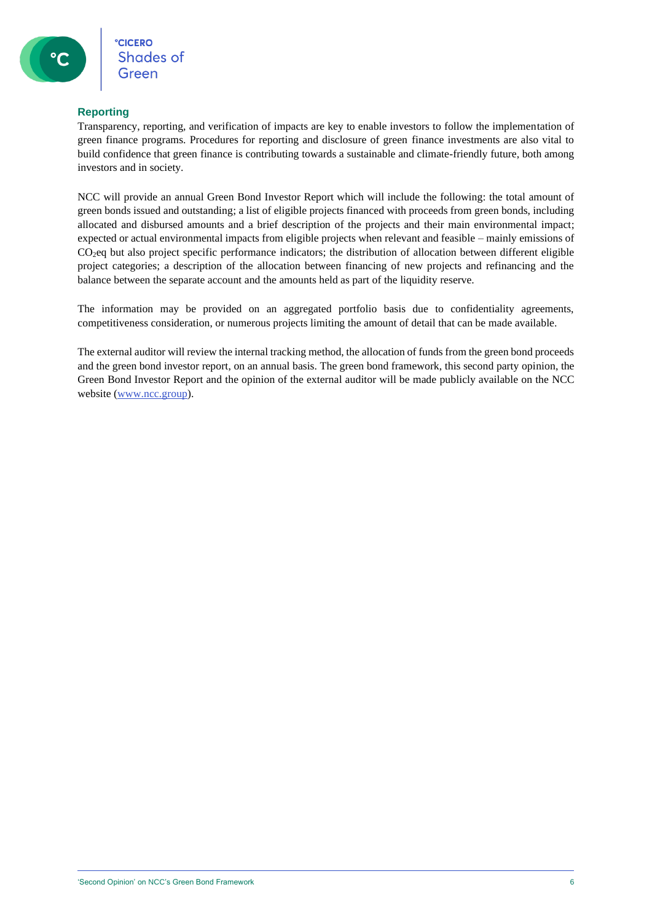#### **Reporting**

Transparency, reporting, and verification of impacts are key to enable investors to follow the implementation of green finance programs. Procedures for reporting and disclosure of green finance investments are also vital to build confidence that green finance is contributing towards a sustainable and climate-friendly future, both among investors and in society.

NCC will provide an annual Green Bond Investor Report which will include the following: the total amount of green bonds issued and outstanding; a list of eligible projects financed with proceeds from green bonds, including allocated and disbursed amounts and a brief description of the projects and their main environmental impact; expected or actual environmental impacts from eligible projects when relevant and feasible – mainly emissions of CO<sub>2</sub>eq but also project specific performance indicators; the distribution of allocation between different eligible project categories; a description of the allocation between financing of new projects and refinancing and the balance between the separate account and the amounts held as part of the liquidity reserve.

The information may be provided on an aggregated portfolio basis due to confidentiality agreements, competitiveness consideration, or numerous projects limiting the amount of detail that can be made available.

The external auditor will review the internal tracking method, the allocation of funds from the green bond proceeds and the green bond investor report, on an annual basis. The green bond framework, this second party opinion, the Green Bond Investor Report and the opinion of the external auditor will be made publicly available on the NCC website [\(www.ncc.group\)](http://www.ncc.group/).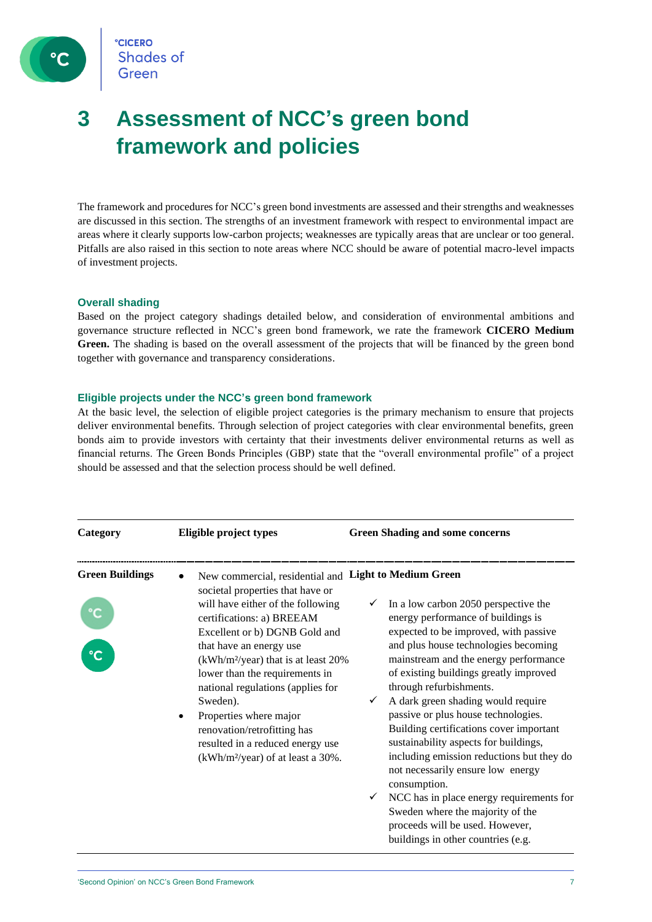

### **3 Assessment of NCC's green bond framework and policies**

The framework and procedures for NCC's green bond investments are assessed and their strengths and weaknesses are discussed in this section. The strengths of an investment framework with respect to environmental impact are areas where it clearly supports low-carbon projects; weaknesses are typically areas that are unclear or too general. Pitfalls are also raised in this section to note areas where NCC should be aware of potential macro-level impacts of investment projects.

#### **Overall shading**

Based on the project category shadings detailed below, and consideration of environmental ambitions and governance structure reflected in NCC's green bond framework, we rate the framework **CICERO Medium Green.** The shading is based on the overall assessment of the projects that will be financed by the green bond together with governance and transparency considerations.

#### **Eligible projects under the NCC's green bond framework**

At the basic level, the selection of eligible project categories is the primary mechanism to ensure that projects deliver environmental benefits. Through selection of project categories with clear environmental benefits, green bonds aim to provide investors with certainty that their investments deliver environmental returns as well as financial returns. The Green Bonds Principles (GBP) state that the "overall environmental profile" of a project should be assessed and that the selection process should be well defined.

| Category                               | Eligible project types                                                                                                                                                                                                                                                                                                                                                                                                                                                                                      | <b>Green Shading and some concerns</b>                                                                                                                                                                                                                                                                                                                                                                                                                                                                                                                                                                                                                                                                |
|----------------------------------------|-------------------------------------------------------------------------------------------------------------------------------------------------------------------------------------------------------------------------------------------------------------------------------------------------------------------------------------------------------------------------------------------------------------------------------------------------------------------------------------------------------------|-------------------------------------------------------------------------------------------------------------------------------------------------------------------------------------------------------------------------------------------------------------------------------------------------------------------------------------------------------------------------------------------------------------------------------------------------------------------------------------------------------------------------------------------------------------------------------------------------------------------------------------------------------------------------------------------------------|
| <b>Green Buildings</b><br>$\mathbf{C}$ | New commercial, residential and Light to Medium Green<br>societal properties that have or<br>will have either of the following<br>certifications: a) BREEAM<br>Excellent or b) DGNB Gold and<br>that have an energy use<br>(kWh/m <sup>2</sup> /year) that is at least 20%<br>lower than the requirements in<br>national regulations (applies for<br>Sweden).<br>Properties where major<br>renovation/retrofitting has<br>resulted in a reduced energy use<br>(kWh/m <sup>2</sup> /year) of at least a 30%. | In a low carbon 2050 perspective the<br>energy performance of buildings is<br>expected to be improved, with passive<br>and plus house technologies becoming<br>mainstream and the energy performance<br>of existing buildings greatly improved<br>through refurbishments.<br>A dark green shading would require<br>passive or plus house technologies.<br>Building certifications cover important<br>sustainability aspects for buildings,<br>including emission reductions but they do<br>not necessarily ensure low energy<br>consumption.<br>NCC has in place energy requirements for<br>Sweden where the majority of the<br>proceeds will be used. However,<br>buildings in other countries (e.g. |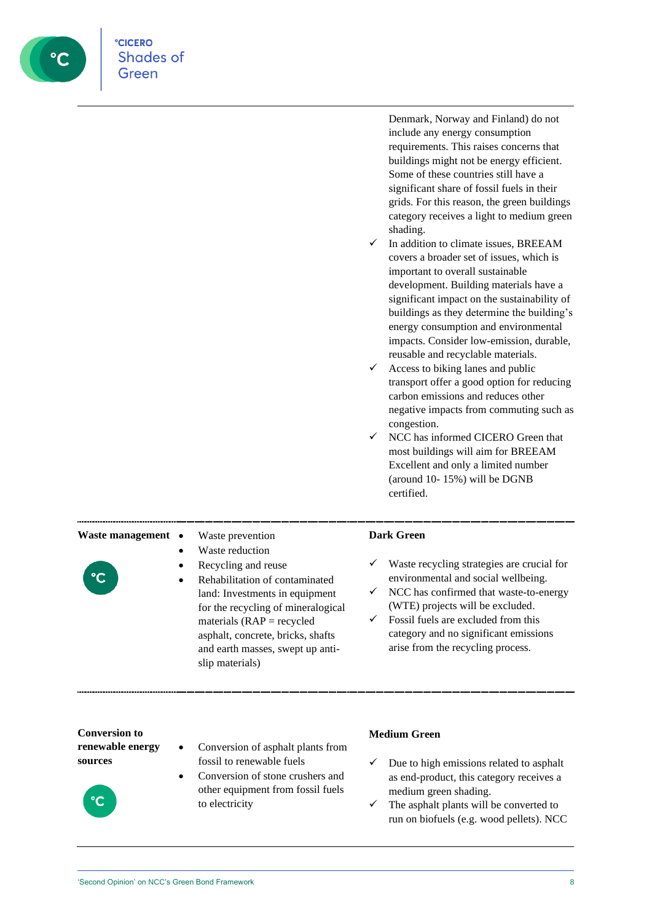

Denmark, Norway and Finland) do not include any energy consumption requirements. This raises concerns that buildings might not be energy efficient. Some of these countries still have a significant share of fossil fuels in their grids. For this reason, the green buildings category receives a light to medium green shading.

- In addition to climate issues, BREEAM covers a broader set of issues, which is important to overall sustainable development. Building materials have a significant impact on the sustainability of buildings as they determine the building's energy consumption and environmental impacts. Consider low-emission, durable, reusable and recyclable materials.
- $\checkmark$  Access to biking lanes and public transport offer a good option for reducing carbon emissions and reduces other negative impacts from commuting such as congestion.
- $\checkmark$  NCC has informed CICERO Green that most buildings will aim for BREEAM Excellent and only a limited number (around 10- 15%) will be DGNB certified.

### Waste management • Waste prevention

- Waste reduction
- 
- 
- Recycling and reuse
- Rehabilitation of contaminated land: Investments in equipment for the recycling of mineralogical materials  $(RAP =$  recycled asphalt, concrete, bricks, shafts and earth masses, swept up antislip materials)

#### **Dark Green**

- ✓ Waste recycling strategies are crucial for environmental and social wellbeing.
- $\checkmark$  NCC has confirmed that waste-to-energy (WTE) projects will be excluded.
- $\checkmark$  Fossil fuels are excluded from this category and no significant emissions arise from the recycling process.

**Conversion to renewable energy sources**



- Conversion of asphalt plants from fossil to renewable fuels
- Conversion of stone crushers and other equipment from fossil fuels to electricity

#### **Medium Green**

- $\checkmark$  Due to high emissions related to asphalt as end-product, this category receives a medium green shading.
- $\checkmark$  The asphalt plants will be converted to run on biofuels (e.g. wood pellets). NCC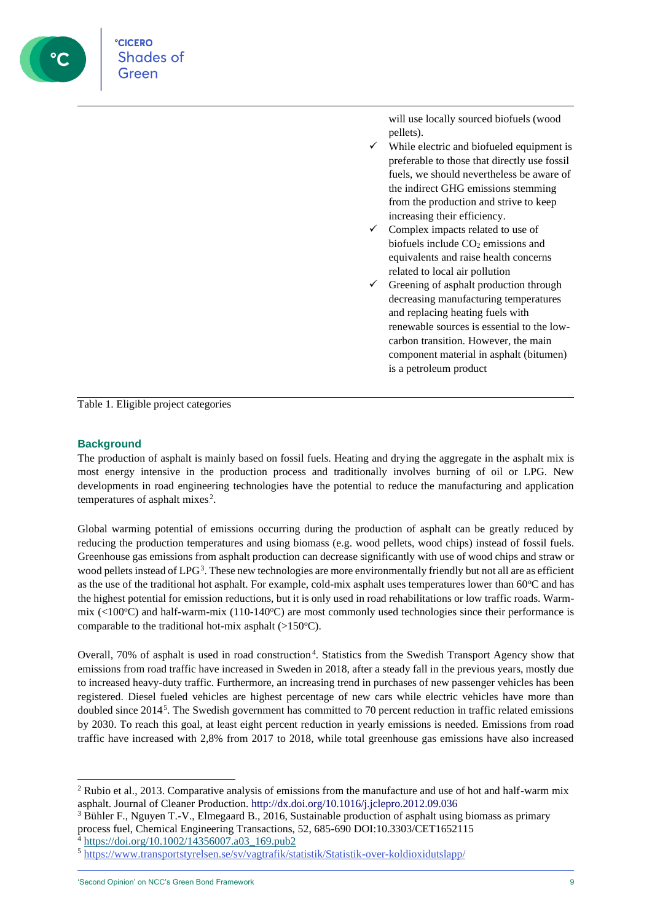

**CICERO** Shades of

> will use locally sourced biofuels (wood pellets).

- While electric and biofueled equipment is preferable to those that directly use fossil fuels, we should nevertheless be aware of the indirect GHG emissions stemming from the production and strive to keep increasing their efficiency.
- Complex impacts related to use of biofuels include  $CO<sub>2</sub>$  emissions and equivalents and raise health concerns related to local air pollution
- $\checkmark$  Greening of asphalt production through decreasing manufacturing temperatures and replacing heating fuels with renewable sources is essential to the lowcarbon transition. However, the main component material in asphalt (bitumen) is a petroleum product

Table 1. Eligible project categories

#### **Background**

The production of asphalt is mainly based on fossil fuels. Heating and drying the aggregate in the asphalt mix is most energy intensive in the production process and traditionally involves burning of oil or LPG. New developments in road engineering technologies have the potential to reduce the manufacturing and application temperatures of asphalt mixes<sup>2</sup>.

Global warming potential of emissions occurring during the production of asphalt can be greatly reduced by reducing the production temperatures and using biomass (e.g. wood pellets, wood chips) instead of fossil fuels. Greenhouse gas emissions from asphalt production can decrease significantly with use of wood chips and straw or wood pellets instead of LPG<sup>3</sup>. These new technologies are more environmentally friendly but not all are as efficient as the use of the traditional hot asphalt. For example, cold-mix asphalt uses temperatures lower than  $60^{\circ}$ C and has the highest potential for emission reductions, but it is only used in road rehabilitations or low traffic roads. Warmmix ( $<100\degree$ C) and half-warm-mix (110-140 $\degree$ C) are most commonly used technologies since their performance is comparable to the traditional hot-mix asphalt  $(>150^{\circ}C)$ .

Overall, 70% of asphalt is used in road construction.<sup>4</sup>. Statistics from the Swedish Transport Agency show that emissions from road traffic have increased in Sweden in 2018, after a steady fall in the previous years, mostly due to increased heavy-duty traffic. Furthermore, an increasing trend in purchases of new passenger vehicles has been registered. Diesel fueled vehicles are highest percentage of new cars while electric vehicles have more than doubled since  $2014<sup>5</sup>$ . The Swedish government has committed to 70 percent reduction in traffic related emissions by 2030. To reach this goal, at least eight percent reduction in yearly emissions is needed. Emissions from road traffic have increased with 2,8% from 2017 to 2018, while total greenhouse gas emissions have also increased

<sup>2</sup> Rubio et al., 2013. Comparative analysis of emissions from the manufacture and use of hot and half-warm mix asphalt. Journal of Cleaner Production. http://dx.doi.org/10.1016/j.jclepro.2012.09.036

<sup>3</sup> Bühler F., Nguyen T.-V., Elmegaard B., 2016, Sustainable production of asphalt using biomass as primary process fuel, Chemical Engineering Transactions, 52, 685-690 DOI:10.3303/CET1652115

<sup>4</sup> [https://doi.org/10.1002/14356007.a03\\_169.pub2](https://doi.org/10.1002/14356007.a03_169.pub2)

<sup>5</sup> <https://www.transportstyrelsen.se/sv/vagtrafik/statistik/Statistik-over-koldioxidutslapp/>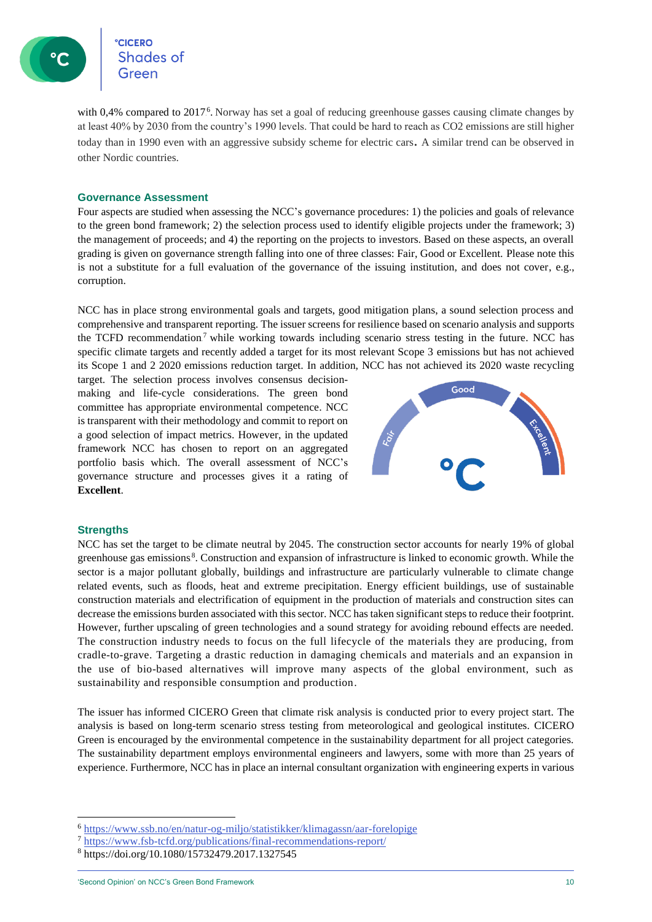**CICERO** Shades of

with 0,4% compared to 2017.<sup>6</sup>. Norway has set a goal of reducing greenhouse gasses causing climate changes by at least 40% by 2030 from the country's 1990 levels. That could be hard to reach as CO2 emissions are still higher today than in 1990 even with an aggressive subsidy scheme for electric cars. A similar trend can be observed in other Nordic countries.

#### **Governance Assessment**

Four aspects are studied when assessing the NCC's governance procedures: 1) the policies and goals of relevance to the green bond framework; 2) the selection process used to identify eligible projects under the framework; 3) the management of proceeds; and 4) the reporting on the projects to investors. Based on these aspects, an overall grading is given on governance strength falling into one of three classes: Fair, Good or Excellent. Please note this is not a substitute for a full evaluation of the governance of the issuing institution, and does not cover, e.g., corruption.

NCC has in place strong environmental goals and targets, good mitigation plans, a sound selection process and comprehensive and transparent reporting. The issuer screens for resilience based on scenario analysis and supports the TCFD recommendation<sup>7</sup> while working towards including scenario stress testing in the future. NCC has specific climate targets and recently added a target for its most relevant Scope 3 emissions but has not achieved its Scope 1 and 2 2020 emissions reduction target. In addition, NCC has not achieved its 2020 waste recycling

target. The selection process involves consensus decisionmaking and life-cycle considerations. The green bond committee has appropriate environmental competence. NCC is transparent with their methodology and commit to report on a good selection of impact metrics. However, in the updated framework NCC has chosen to report on an aggregated portfolio basis which. The overall assessment of NCC's governance structure and processes gives it a rating of **Excellent**.



#### **Strengths**

NCC has set the target to be climate neutral by 2045. The construction sector accounts for nearly 19% of global greenhouse gas emissions<sup>8</sup>. Construction and expansion of infrastructure is linked to economic growth. While the sector is a major pollutant globally, buildings and infrastructure are particularly vulnerable to climate change related events, such as floods, heat and extreme precipitation. Energy efficient buildings, use of sustainable construction materials and electrification of equipment in the production of materials and construction sites can decrease the emissions burden associated with this sector. NCC has taken significant steps to reduce their footprint. However, further upscaling of green technologies and a sound strategy for avoiding rebound effects are needed. The construction industry needs to focus on the full lifecycle of the materials they are producing, from cradle-to-grave. Targeting a drastic reduction in damaging chemicals and materials and an expansion in the use of bio-based alternatives will improve many aspects of the global environment, such as sustainability and responsible consumption and production.

The issuer has informed CICERO Green that climate risk analysis is conducted prior to every project start. The analysis is based on long-term scenario stress testing from meteorological and geological institutes. CICERO Green is encouraged by the environmental competence in the sustainability department for all project categories. The sustainability department employs environmental engineers and lawyers, some with more than 25 years of experience. Furthermore, NCC has in place an internal consultant organization with engineering experts in various

<sup>6</sup> <https://www.ssb.no/en/natur-og-miljo/statistikker/klimagassn/aar-forelopige>

<sup>7</sup> <https://www.fsb-tcfd.org/publications/final-recommendations-report/>

<sup>8</sup> https://doi.org/10.1080/15732479.2017.1327545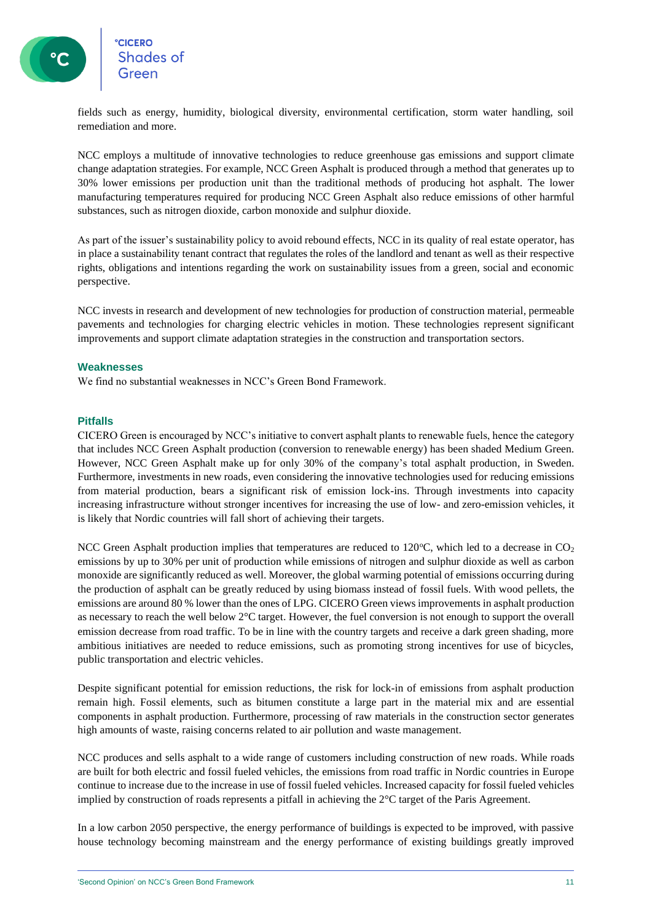

fields such as energy, humidity, biological diversity, environmental certification, storm water handling, soil remediation and more.

NCC employs a multitude of innovative technologies to reduce greenhouse gas emissions and support climate change adaptation strategies. For example, NCC Green Asphalt is produced through a method that generates up to 30% lower emissions per production unit than the traditional methods of producing hot asphalt. The lower manufacturing temperatures required for producing NCC Green Asphalt also reduce emissions of other harmful substances, such as nitrogen dioxide, carbon monoxide and sulphur dioxide.

As part of the issuer's sustainability policy to avoid rebound effects, NCC in its quality of real estate operator, has in place a sustainability tenant contract that regulates the roles of the landlord and tenant as well as their respective rights, obligations and intentions regarding the work on sustainability issues from a green, social and economic perspective.

NCC invests in research and development of new technologies for production of construction material, permeable pavements and technologies for charging electric vehicles in motion. These technologies represent significant improvements and support climate adaptation strategies in the construction and transportation sectors.

#### **Weaknesses**

We find no substantial weaknesses in NCC's Green Bond Framework.

#### **Pitfalls**

CICERO Green is encouraged by NCC's initiative to convert asphalt plants to renewable fuels, hence the category that includes NCC Green Asphalt production (conversion to renewable energy) has been shaded Medium Green. However, NCC Green Asphalt make up for only 30% of the company's total asphalt production, in Sweden. Furthermore, investments in new roads, even considering the innovative technologies used for reducing emissions from material production, bears a significant risk of emission lock-ins. Through investments into capacity increasing infrastructure without stronger incentives for increasing the use of low- and zero-emission vehicles, it is likely that Nordic countries will fall short of achieving their targets.

NCC Green Asphalt production implies that temperatures are reduced to 120 $^{\circ}$ C, which led to a decrease in CO<sub>2</sub> emissions by up to 30% per unit of production while emissions of nitrogen and sulphur dioxide as well as carbon monoxide are significantly reduced as well. Moreover, the global warming potential of emissions occurring during the production of asphalt can be greatly reduced by using biomass instead of fossil fuels. With wood pellets, the emissions are around 80 % lower than the ones of LPG. CICERO Green views improvements in asphalt production as necessary to reach the well below 2°C target. However, the fuel conversion is not enough to support the overall emission decrease from road traffic. To be in line with the country targets and receive a dark green shading, more ambitious initiatives are needed to reduce emissions, such as promoting strong incentives for use of bicycles, public transportation and electric vehicles.

Despite significant potential for emission reductions, the risk for lock-in of emissions from asphalt production remain high. Fossil elements, such as bitumen constitute a large part in the material mix and are essential components in asphalt production. Furthermore, processing of raw materials in the construction sector generates high amounts of waste, raising concerns related to air pollution and waste management.

NCC produces and sells asphalt to a wide range of customers including construction of new roads. While roads are built for both electric and fossil fueled vehicles, the emissions from road traffic in Nordic countries in Europe continue to increase due to the increase in use of fossil fueled vehicles. Increased capacity for fossil fueled vehicles implied by construction of roads represents a pitfall in achieving the 2°C target of the Paris Agreement.

In a low carbon 2050 perspective, the energy performance of buildings is expected to be improved, with passive house technology becoming mainstream and the energy performance of existing buildings greatly improved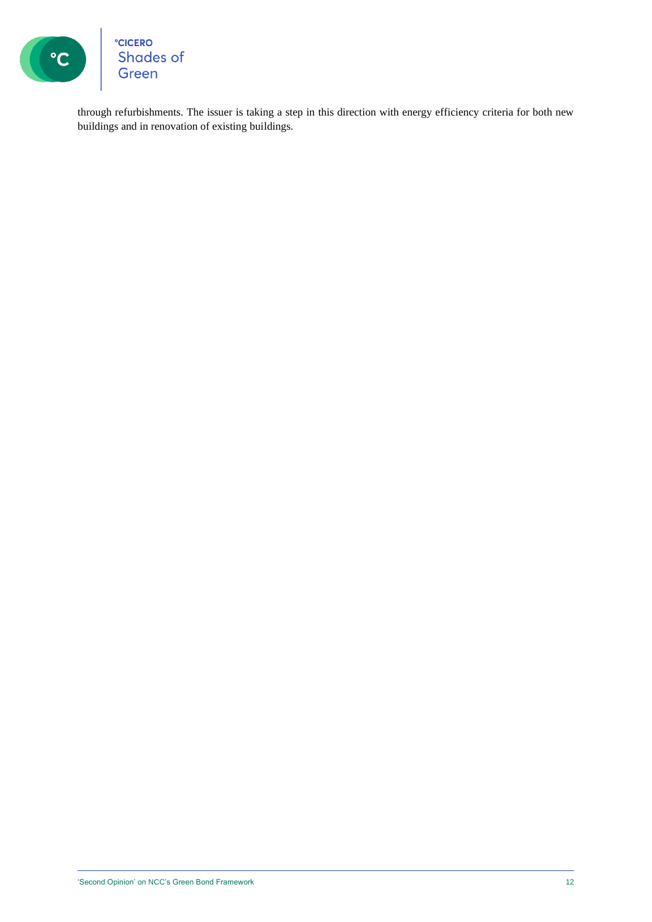

°cicero<br>Shades of<br>Green

through refurbishments. The issuer is taking a step in this direction with energy efficiency criteria for both new buildings and in renovation of existing buildings.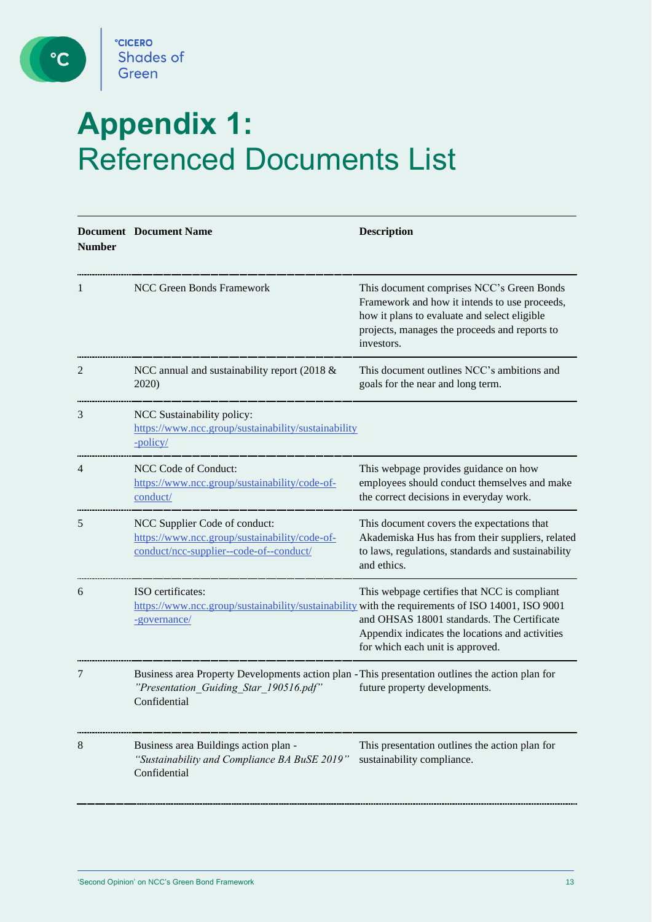

C

## **Appendix 1:** Referenced Documents List

| <b>Number</b> | <b>Document</b> Document Name                                                                                                                              | <b>Description</b>                                                                                                                                                                                        |
|---------------|------------------------------------------------------------------------------------------------------------------------------------------------------------|-----------------------------------------------------------------------------------------------------------------------------------------------------------------------------------------------------------|
|               | NCC Green Bonds Framework                                                                                                                                  | This document comprises NCC's Green Bonds<br>Framework and how it intends to use proceeds,<br>how it plans to evaluate and select eligible<br>projects, manages the proceeds and reports to<br>investors. |
| 2             | NCC annual and sustainability report (2018 &<br>2020)                                                                                                      | This document outlines NCC's ambitions and<br>goals for the near and long term.                                                                                                                           |
| 3             | NCC Sustainability policy:<br>https://www.ncc.group/sustainability/sustainability<br>-policy/                                                              |                                                                                                                                                                                                           |
| 4             | NCC Code of Conduct:<br>https://www.ncc.group/sustainability/code-of-<br>conduct/                                                                          | This webpage provides guidance on how<br>employees should conduct themselves and make<br>the correct decisions in everyday work.                                                                          |
| 5             | NCC Supplier Code of conduct:<br>https://www.ncc.group/sustainability/code-of-<br>conduct/ncc-supplier--code-of--conduct/                                  | This document covers the expectations that<br>Akademiska Hus has from their suppliers, related<br>to laws, regulations, standards and sustainability<br>and ethics.                                       |
| 6             | ISO certificates:<br>https://www.ncc.group/sustainability/sustainability with the requirements of ISO 14001, ISO 9001<br>-governance/                      | This webpage certifies that NCC is compliant<br>and OHSAS 18001 standards. The Certificate<br>Appendix indicates the locations and activities<br>for which each unit is approved.                         |
| 7             | Business area Property Developments action plan - This presentation outlines the action plan for<br>"Presentation Guiding Star 190516.pdf"<br>Confidential | future property developments.                                                                                                                                                                             |
| 8             | Business area Buildings action plan -<br>"Sustainability and Compliance BA BuSE 2019"<br>Confidential                                                      | This presentation outlines the action plan for<br>sustainability compliance.                                                                                                                              |